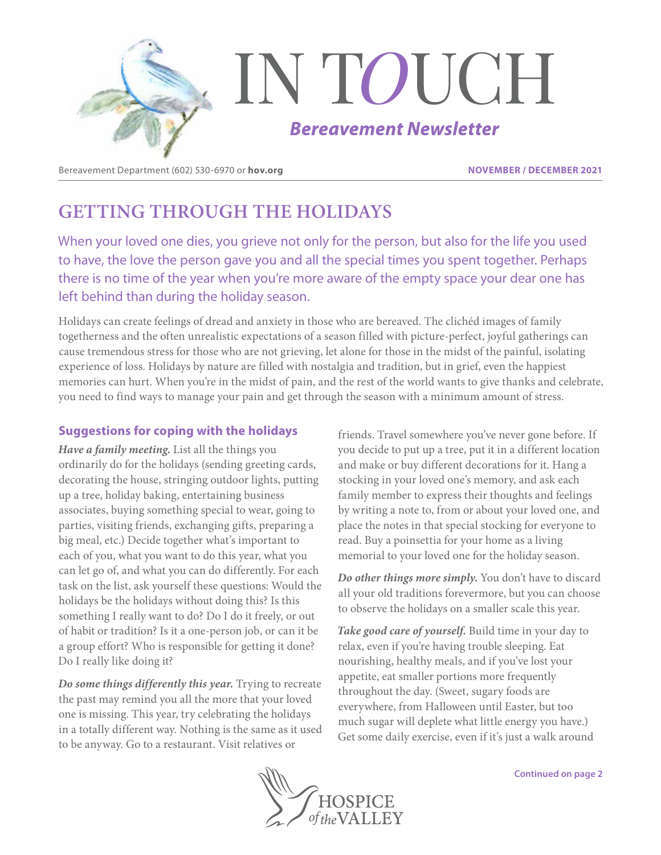

Bereavement Department (602) 530-6970 or **hov.org NOVEMBER / DECEMBER 2021**

# **GETTING THROUGH THE HOLIDAYS**

When your loved one dies, you grieve not only for the person, but also for the life you used to have, the love the person gave you and all the special times you spent together. Perhaps there is no time of the year when you're more aware of the empty space your dear one has left behind than during the holiday season.

Holidays can create feelings of dread and anxiety in those who are bereaved. The clichéd images of family togetherness and the often unrealistic expectations of a season filled with picture-perfect, joyful gatherings can cause tremendous stress for those who are not grieving, let alone for those in the midst of the painful, isolating experience of loss. Holidays by nature are filled with nostalgia and tradition, but in grief, even the happiest memories can hurt. When you're in the midst of pain, and the rest of the world wants to give thanks and celebrate, you need to find ways to manage your pain and get through the season with a minimum amount of stress.

### **Suggestions for coping with the holidays**

*Have a family meeting.* List all the things you ordinarily do for the holidays (sending greeting cards, decorating the house, stringing outdoor lights, putting up a tree, holiday baking, entertaining business associates, buying something special to wear, going to parties, visiting friends, exchanging gifts, preparing a big meal, etc.) Decide together what's important to each of you, what you want to do this year, what you can let go of, and what you can do differently. For each task on the list, ask yourself these questions: Would the holidays be the holidays without doing this? Is this something I really want to do? Do I do it freely, or out of habit or tradition? Is it a one-person job, or can it be a group effort? Who is responsible for getting it done? Do I really like doing it?

*Do some things differently this year.* Trying to recreate the past may remind you all the more that your loved one is missing. This year, try celebrating the holidays in a totally different way. Nothing is the same as it used to be anyway. Go to a restaurant. Visit relatives or

friends. Travel somewhere you've never gone before. If you decide to put up a tree, put it in a different location and make or buy different decorations for it. Hang a stocking in your loved one's memory, and ask each family member to express their thoughts and feelings by writing a note to, from or about your loved one, and place the notes in that special stocking for everyone to read. Buy a poinsettia for your home as a living memorial to your loved one for the holiday season.

*Do other things more simply.* You don't have to discard all your old traditions forevermore, but you can choose to observe the holidays on a smaller scale this year.

*Take good care of yourself.* Build time in your day to relax, even if you're having trouble sleeping. Eat nourishing, healthy meals, and if you've lost your appetite, eat smaller portions more frequently throughout the day. (Sweet, sugary foods are everywhere, from Halloween until Easter, but too much sugar will deplete what little energy you have.) Get some daily exercise, even if it's just a walk around

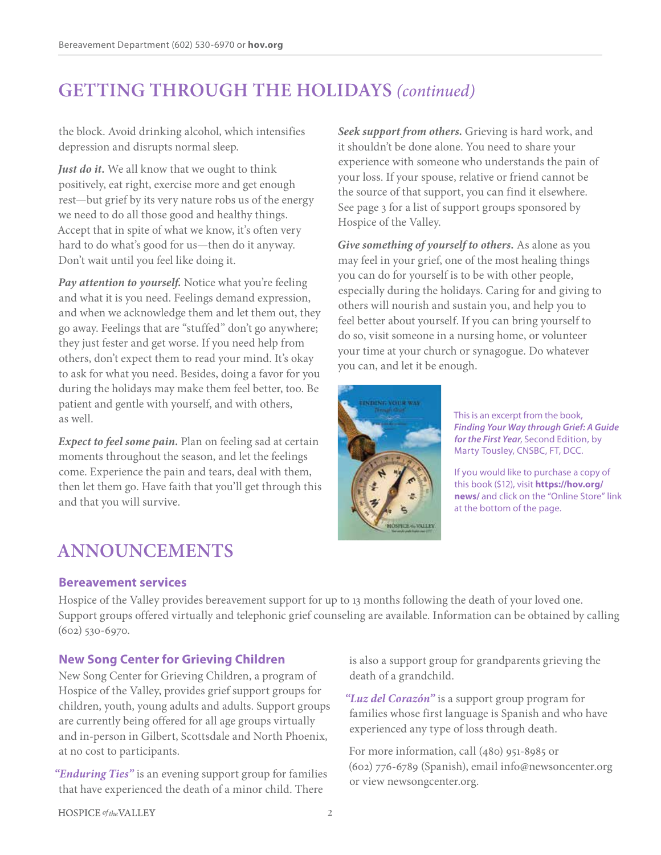# **GETTING THROUGH THE HOLIDAYS** *(continued)*

the block. Avoid drinking alcohol, which intensifies depression and disrupts normal sleep.

Just do it. We all know that we ought to think positively, eat right, exercise more and get enough rest—but grief by its very nature robs us of the energy we need to do all those good and healthy things. Accept that in spite of what we know, it's often very hard to do what's good for us—then do it anyway. Don't wait until you feel like doing it.

*Pay attention to yourself.* Notice what you're feeling and what it is you need. Feelings demand expression, and when we acknowledge them and let them out, they go away. Feelings that are "stuffed" don't go anywhere; they just fester and get worse. If you need help from others, don't expect them to read your mind. It's okay to ask for what you need. Besides, doing a favor for you during the holidays may make them feel better, too. Be patient and gentle with yourself, and with others, as well.

*Expect to feel some pain.* Plan on feeling sad at certain moments throughout the season, and let the feelings come. Experience the pain and tears, deal with them, then let them go. Have faith that you'll get through this and that you will survive.

# **ANNOUNCEMENTS**

### **Bereavement services**

Hospice of the Valley provides bereavement support for up to 13 months following the death of your loved one. Support groups offered virtually and telephonic grief counseling are available. Information can be obtained by calling (602) 530-6970.

### **New Song Center for Grieving Children**

New Song Center for Grieving Children, a program of Hospice of the Valley, provides grief support groups for children, youth, young adults and adults. Support groups are currently being offered for all age groups virtually and in-person in Gilbert, Scottsdale and North Phoenix, at no cost to participants.

*"Enduring Ties"* is an evening support group for families that have experienced the death of a minor child. There

*Seek support from others.* Grieving is hard work, and it shouldn't be done alone. You need to share your experience with someone who understands the pain of your loss. If your spouse, relative or friend cannot be the source of that support, you can find it elsewhere. See page 3 for a list of support groups sponsored by Hospice of the Valley.

*Give something of yourself to others.* As alone as you may feel in your grief, one of the most healing things you can do for yourself is to be with other people, especially during the holidays. Caring for and giving to others will nourish and sustain you, and help you to feel better about yourself. If you can bring yourself to do so, visit someone in a nursing home, or volunteer your time at your church or synagogue. Do whatever you can, and let it be enough.



This is an excerpt from the book, *Finding Your Way through Grief: A Guide for the First Year*, Second Edition, by Marty Tousley, CNSBC, FT, DCC.

If you would like to purchase a copy of this book (\$12), visit **https://hov.org/ news/** and click on the "Online Store" link at the bottom of the page.

is also a support group for grandparents grieving the death of a grandchild.

*"Luz del Corazón"* is a support group program for families whose first language is Spanish and who have experienced any type of loss through death.

For more information, call (480) 951-8985 or (602) 776-6789 (Spanish), email info@newsoncenter.org or view newsongcenter.org.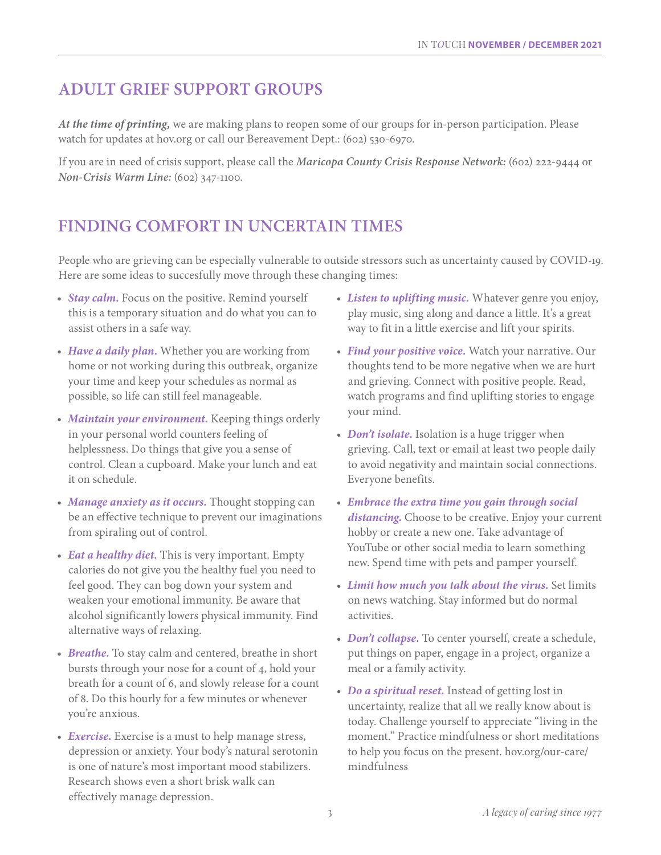### **ADULT GRIEF SUPPORT GROUPS**

*At the time of printing,* we are making plans to reopen some of our groups for in-person participation. Please watch for updates at hov.org or call our Bereavement Dept.: (602) 530-6970.

If you are in need of crisis support, please call the *Maricopa County Crisis Response Network:* (602) 222-9444 or *Non-Crisis Warm Line:* (602) 347-1100.

## **FINDING COMFORT IN UNCERTAIN TIMES**

People who are grieving can be especially vulnerable to outside stressors such as uncertainty caused by COVID-19. Here are some ideas to succesfully move through these changing times:

- *Stay calm.* Focus on the positive. Remind yourself this is a temporary situation and do what you can to assist others in a safe way.
- *Have a daily plan.* Whether you are working from home or not working during this outbreak, organize your time and keep your schedules as normal as possible, so life can still feel manageable.
- *Maintain your environment.* Keeping things orderly in your personal world counters feeling of helplessness. Do things that give you a sense of control. Clean a cupboard. Make your lunch and eat it on schedule.
- *Manage anxiety as it occurs.* Thought stopping can be an effective technique to prevent our imaginations from spiraling out of control.
- *Eat a healthy diet.* This is very important. Empty calories do not give you the healthy fuel you need to feel good. They can bog down your system and weaken your emotional immunity. Be aware that alcohol significantly lowers physical immunity. Find alternative ways of relaxing.
- *Breathe.* To stay calm and centered, breathe in short bursts through your nose for a count of 4, hold your breath for a count of 6, and slowly release for a count of 8. Do this hourly for a few minutes or whenever you're anxious.
- *Exercise.* Exercise is a must to help manage stress, depression or anxiety. Your body's natural serotonin is one of nature's most important mood stabilizers. Research shows even a short brisk walk can effectively manage depression.
- *Listen to uplifting music.* Whatever genre you enjoy, play music, sing along and dance a little. It's a great way to fit in a little exercise and lift your spirits.
- *Find your positive voice.* Watch your narrative. Our thoughts tend to be more negative when we are hurt and grieving. Connect with positive people. Read, watch programs and find uplifting stories to engage your mind.
- *Don't isolate*. Isolation is a huge trigger when grieving. Call, text or email at least two people daily to avoid negativity and maintain social connections. Everyone benefits.
- *Embrace the extra time you gain through social distancing.* Choose to be creative. Enjoy your current hobby or create a new one. Take advantage of YouTube or other social media to learn something new. Spend time with pets and pamper yourself.
- *Limit how much you talk about the virus.* Set limits on news watching. Stay informed but do normal activities.
- *Don't collapse.* To center yourself, create a schedule, put things on paper, engage in a project, organize a meal or a family activity.
- *Do a spiritual reset.* Instead of getting lost in uncertainty, realize that all we really know about is today. Challenge yourself to appreciate "living in the moment." Practice mindfulness or short meditations to help you focus on the present. hov.org/our-care/ mindfulness